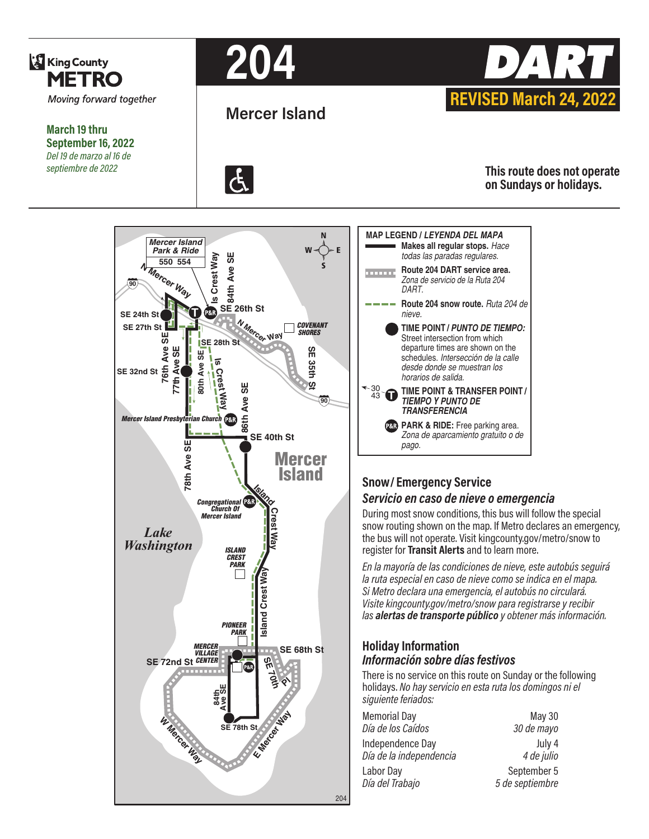

**March 19 thru September 16, 2022** *Del 19 de marzo al 16 de septiembre de 2022*









**This route does not operate on Sundays or holidays.**





# **Snow/ Emergency Service**  *Servicio en caso de nieve o emergencia*

During most snow conditions, this bus will follow the special snow routing shown on the map. If Metro declares an emergency, the bus will not operate. Visit kingcounty.gov/metro/snow to register for **Transit Alerts** and to learn more.

*En la mayoría de las condiciones de nieve, este autobús seguirá la ruta especial en caso de nieve como se indica en el mapa. Si Metro declara una emergencia, el autobús no circulará. Visite kingcounty.gov/metro/snow para registrarse y recibir las alertas de transporte público y obtener más información.*

#### **Holiday Information** *Información sobre días festivos*

There is no service on this route on Sunday or the following holidays. *No hay servicio en esta ruta los domingos ni el siguiente feriados:*

| May 30<br>30 de mayo           |
|--------------------------------|
| July 4<br>4 de julio           |
| September 5<br>5 de septiembre |
|                                |